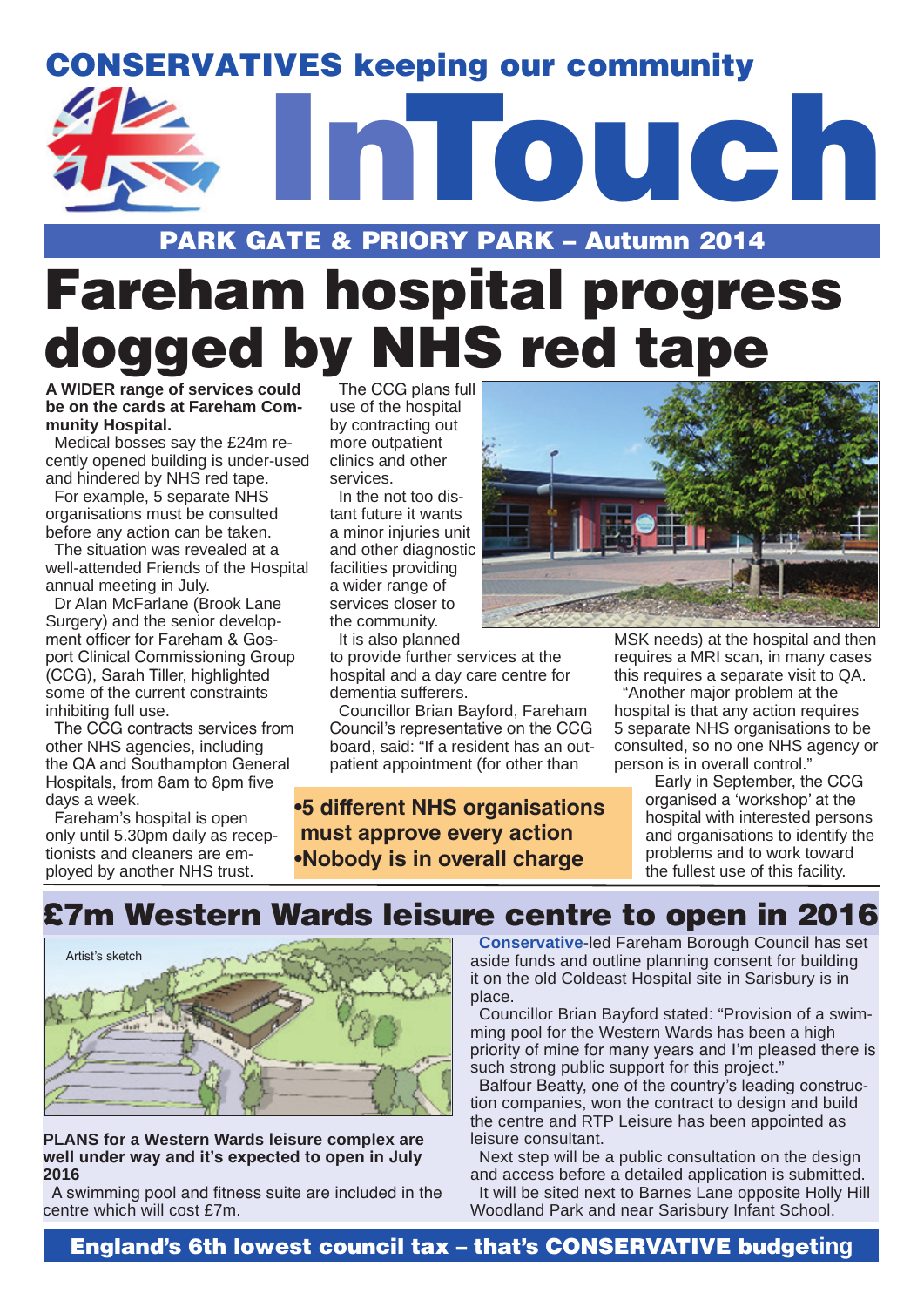# **Intouch** CONSERVATIVES keeping our community

### PARK GATE & PRIORY PARK – Autumn 2014

## Fareham hospital progress dogged by NHS red tape

**A WIDER range of services could be on the cards at Fareham Community Hospital.**

Medical bosses say the £24m recently opened building is under-used and hindered by NHS red tape.

For example, 5 separate NHS organisations must be consulted before any action can be taken.

The situation was revealed at a well-attended Friends of the Hospital annual meeting in July.

Dr Alan McFarlane (Brook Lane Surgery) and the senior development officer for Fareham & Gosport Clinical Commissioning Group (CCG), Sarah Tiller, highlighted some of the current constraints inhibiting full use.

The CCG contracts services from other NHS agencies, including the QA and Southampton General Hospitals, from 8am to 8pm five days a week.

Fareham's hospital is open only until 5.30pm daily as receptionists and cleaners are employed by another NHS trust.

The CCG plans full use of the hospital by contracting out more outpatient clinics and other services.

In the not too distant future it wants a minor injuries unit and other diagnostic facilities providing a wider range of services closer to the community. It is also planned

to provide further services at the hospital and a day care centre for dementia sufferers.

Councillor Brian Bayford, Fareham Council's representative on the CCG board, said: "If a resident has an outpatient appointment (for other than

**•5 different NHS organisations must approve every action •Nobody is in overall charge**



MSK needs) at the hospital and then requires a MRI scan, in many cases this requires a separate visit to QA.

"Another major problem at the hospital is that any action requires 5 separate NHS organisations to be consulted, so no one NHS agency or person is in overall control."

> Early in September, the CCG organised a 'workshop' at the hospital with interested persons and organisations to identify the problems and to work toward the fullest use of this facility.

## £7m Western Wards leisure centre to open in 2016



**PLANS for a Western Wards leisure complex are well under way and it's expected to open in July 2016**

A swimming pool and fitness suite are included in the centre which will cost £7m.

**Conservative**-led Fareham Borough Council has set aside funds and outline planning consent for building it on the old Coldeast Hospital site in Sarisbury is in place.

Councillor Brian Bayford stated: "Provision of a swimming pool for the Western Wards has been a high priority of mine for many years and I'm pleased there is such strong public support for this project."

Balfour Beatty, one of the country's leading construction companies, won the contract to design and build the centre and RTP Leisure has been appointed as leisure consultant.

Next step will be a public consultation on the design and access before a detailed application is submitted.

It will be sited next to Barnes Lane opposite Holly Hill Woodland Park and near Sarisbury Infant School.

England's 6th lowest council tax – that's CONSERVATIVE budget**ing**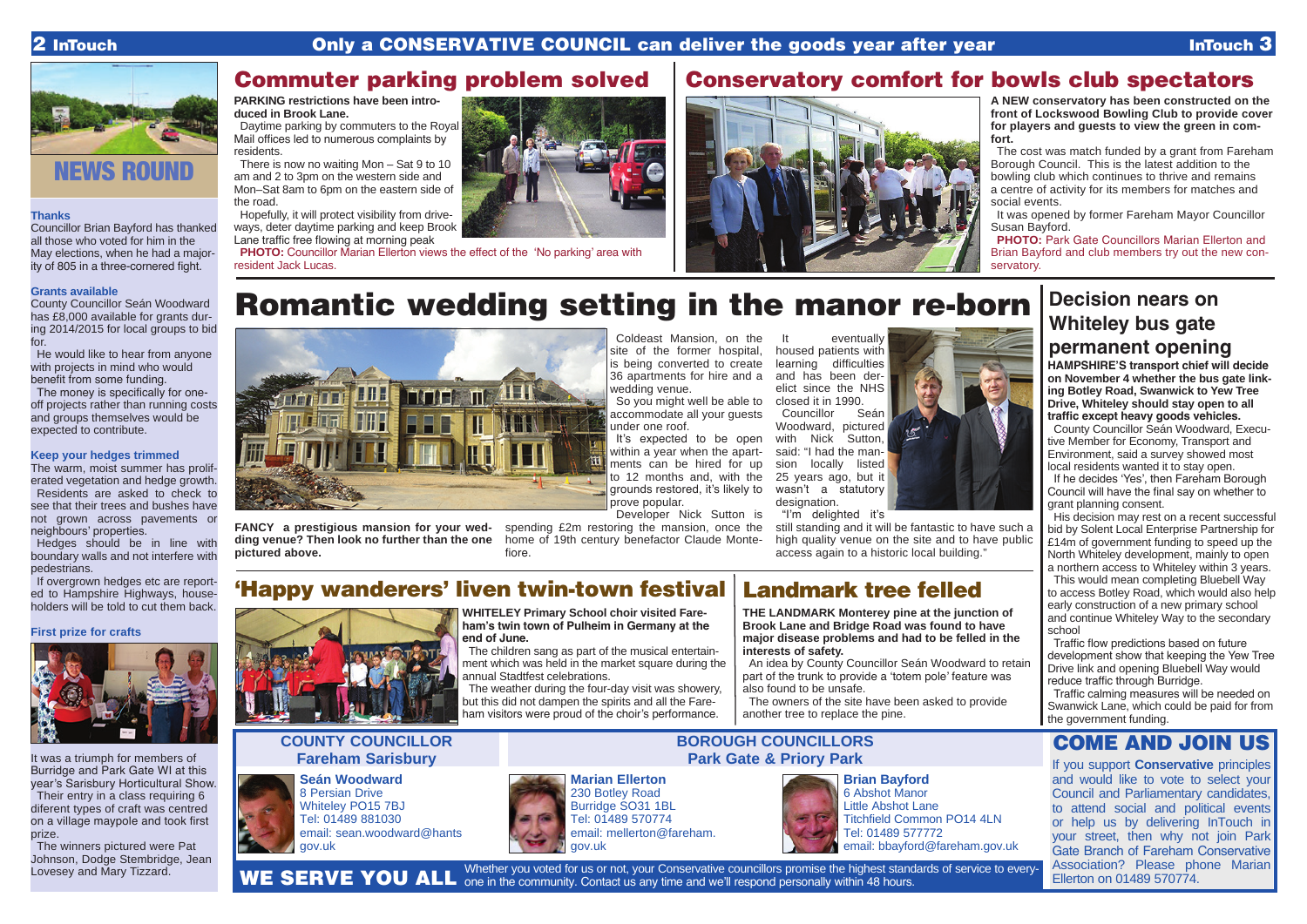#### **Thanks**

Councillor Brian Bayford has thanked all those who voted for him in the May elections, when he had a majority of 805 in a three-cornered fight.

#### **Grants available**

County Councillor Seán Woodward has £8,000 available for grants during 2014/2015 for local groups to bid for.

He would like to hear from anyone with projects in mind who would benefit from some funding.

The money is specifically for oneoff projects rather than running costs and groups themselves would be expected to contribute.

If overgrown hedges etc are reported to Hampshire Highways, householders will be told to cut them back.

#### **Keep your hedges trimmed**

The winners pictured were Pat Johnson, Dodge Stembridge, Jean Lovesey and Mary Tizzard.

The warm, moist summer has proliferated vegetation and hedge growth. Residents are asked to check to see that their trees and bushes have not grown across pavements or neighbours' properties.

Hedges should be in line with boundary walls and not interfere with pedestrians.

**PHOTO:** Park Gate Councillors Marian Ellerton and Brian Bayford and club members try out the new conservatory.

#### **First prize for crafts**



It was a triumph for members of Burridge and Park Gate WI at this year's Sarisbury Horticultural Show. Their entry in a class requiring 6

diferent types of craft was centred on a village maypole and took first prize.

**PHOTO:** Councillor Marian Ellerton views the effect of the 'No parking' area with resident Jack Lucas.



## Commuter parking problem solved

**A NEW conservatory has been constructed on the front of Lockswood Bowling Club to provide cover for players and guests to view the green in comfort.** 

The cost was match funded by a grant from Fareham Borough Council. This is the latest addition to the bowling club which continues to thrive and remains a centre of activity for its members for matches and social events.

Councillor Seán Woodward, pictured with Nick Sutton, said: "I had the mansion locally listed 25 years ago, but it wasn't a statutory designation.

It was opened by former Fareham Mayor Councillor Susan Bayford.

Whether you voted for us or not, your Conservative councillors promise the highest standards of service to every-WE SERVE YOU ALL one in the community. Contact us any time and we'll respond personally within 48 hours.



### Conservatory comfort for bowls club spectators

#### **PARKING restrictions have been introduced in Brook Lane.**

Daytime parking by commuters to the Royal Mail offices led to numerous complaints by residents.

There is now no waiting Mon – Sat 9 to 10 am and 2 to 3pm on the western side and Mon–Sat 8am to 6pm on the eastern side of the road.

Hopefully, it will protect visibility from driveways, deter daytime parking and keep Brook Lane traffic free flowing at morning peak

## Romantic wedding setting in the manor re-born



**FANCY a prestigious mansion for your wedding venue? Then look no further than the one pictured above.**

Coldeast Mansion, on the site of the former hospital, is being converted to create 36 apartments for hire and a wedding venue.

So you might well be able to closed it in 1990. accommodate all your guests under one roof.

It's expected to be open within a year when the apartments can be hired for up to 12 months and, with the grounds restored, it's likely to prove popular.

Developer Nick Sutton is

spending £2m restoring the mansion, once the home of 19th century benefactor Claude Montefiore.

It eventually housed patients with learning difficulties and has been derelict since the NHS

"I'm delighted it's

high quality venue on the site and to have public access again to a historic local building."



230 Botley Road Burridge SO31 1BL Tel: 01489 570774 email: mellerton@fareham. gov.uk

**Seán Woodward** 8 Persian Drive Whiteley PO15 7BJ Tel: 01489 881030 email: sean.woodward@hants gov.uk

#### **COUNTY COUNCILLOR Fareham Sarisbury**

**BOROUGH COUNCILLORS**



**Brian Bayford** 6 Abshot Manor Little Abshot Lane Titchfield Common PO14 4LN Tel: 01489 577772 email: bbayford@fareham.gov.uk

**WHITELEY Primary School choir visited Fareham's twin town of Pulheim in Germany at the end of June.** 

The children sang as part of the musical entertainment which was held in the market square during the annual Stadtfest celebrations.

The weather during the four-day visit was showery, but this did not dampen the spirits and all the Fareham visitors were proud of the choir's performance.

## 'Happy wanderers' liven twin-town festival





#### **major disease problems and had to be felled in the interests of safety.**

An idea by County Councillor Seán Woodward to retain part of the trunk to provide a 'totem pole' feature was also found to be unsafe.

The owners of the site have been asked to provide another tree to replace the pine.